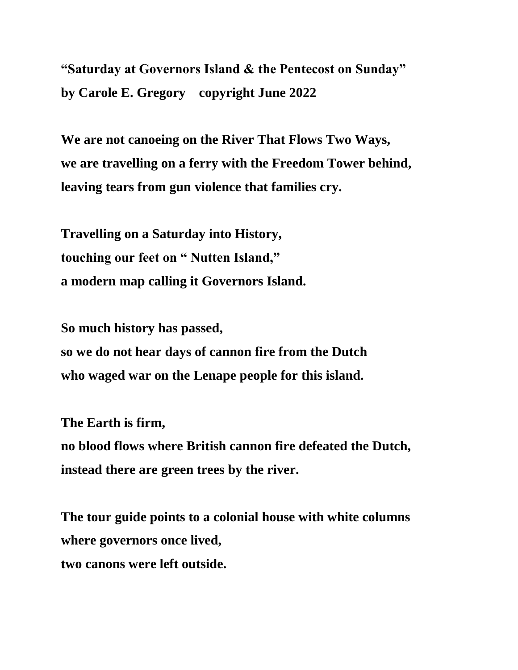**"Saturday at Governors Island & the Pentecost on Sunday" by Carole E. Gregory copyright June 2022**

**We are not canoeing on the River That Flows Two Ways, we are travelling on a ferry with the Freedom Tower behind, leaving tears from gun violence that families cry.**

**Travelling on a Saturday into History, touching our feet on " Nutten Island," a modern map calling it Governors Island.**

**So much history has passed, so we do not hear days of cannon fire from the Dutch**

**who waged war on the Lenape people for this island.**

**The Earth is firm,**

**no blood flows where British cannon fire defeated the Dutch, instead there are green trees by the river.**

**The tour guide points to a colonial house with white columns where governors once lived, two canons were left outside.**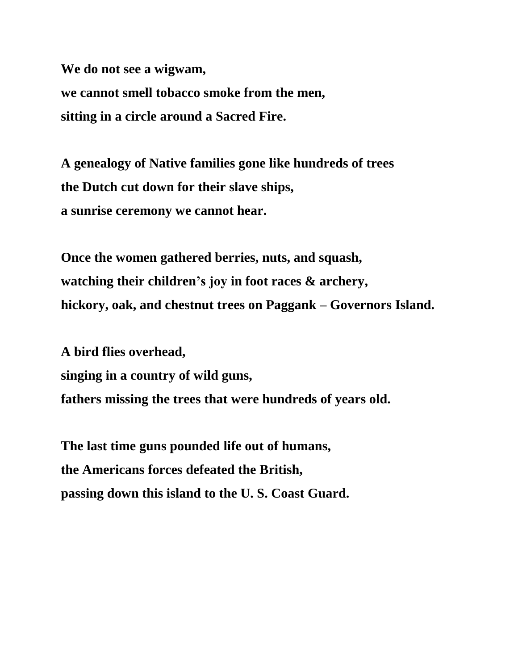**We do not see a wigwam, we cannot smell tobacco smoke from the men, sitting in a circle around a Sacred Fire.**

**A genealogy of Native families gone like hundreds of trees the Dutch cut down for their slave ships, a sunrise ceremony we cannot hear.**

**Once the women gathered berries, nuts, and squash, watching their children's joy in foot races & archery, hickory, oak, and chestnut trees on Paggank – Governors Island.**

**A bird flies overhead, singing in a country of wild guns, fathers missing the trees that were hundreds of years old.** 

**The last time guns pounded life out of humans, the Americans forces defeated the British, passing down this island to the U. S. Coast Guard.**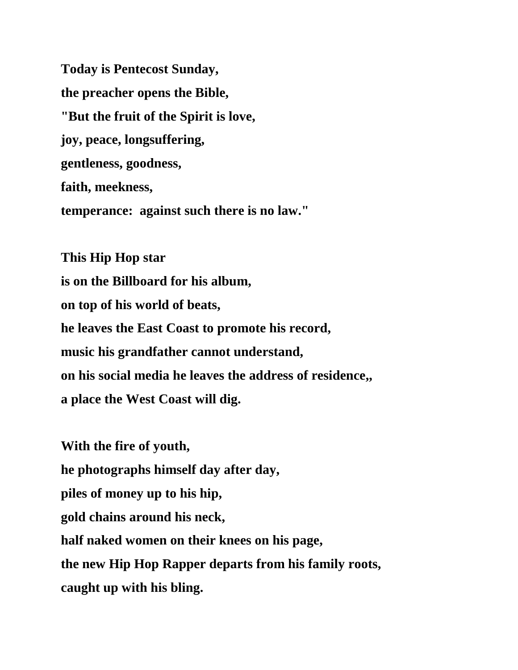**Today is Pentecost Sunday, the preacher opens the Bible, "But the fruit of the Spirit is love, joy, peace, longsuffering, gentleness, goodness, faith, meekness, temperance: against such there is no law."**

**This Hip Hop star is on the Billboard for his album, on top of his world of beats, he leaves the East Coast to promote his record, music his grandfather cannot understand, on his social media he leaves the address of residence,, a place the West Coast will dig.**

**With the fire of youth, he photographs himself day after day, piles of money up to his hip, gold chains around his neck, half naked women on their knees on his page, the new Hip Hop Rapper departs from his family roots, caught up with his bling.**